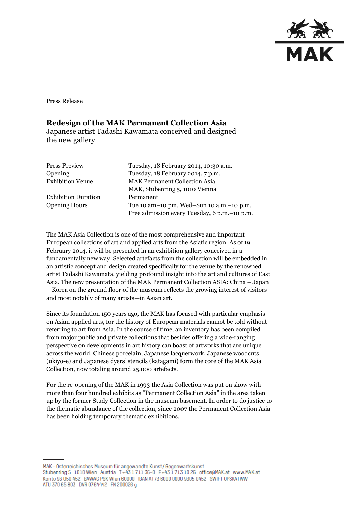

Press Release

## **Redesign of the MAK Permanent Collection Asia**

Japanese artist Tadashi Kawamata conceived and designed the new gallery

| <b>Press Preview</b>       | Tuesday, 18 February 2014, 10:30 a.m.          |
|----------------------------|------------------------------------------------|
| Opening                    | Tuesday, 18 February 2014, 7 p.m.              |
| <b>Exhibition Venue</b>    | <b>MAK Permanent Collection Asia</b>           |
|                            | MAK, Stubenring 5, 1010 Vienna                 |
| <b>Exhibition Duration</b> | Permanent                                      |
| <b>Opening Hours</b>       | Tue 10 am-10 pm, Wed-Sun 10 a.m.-10 p.m.       |
|                            | Free admission every Tuesday, 6 p.m. - 10 p.m. |

The MAK Asia Collection is one of the most comprehensive and important European collections of art and applied arts from the Asiatic region. As of 19 February 2014, it will be presented in an exhibition gallery conceived in a fundamentally new way. Selected artefacts from the collection will be embedded in an artistic concept and design created specifically for the venue by the renowned artist Tadashi Kawamata, yielding profound insight into the art and cultures of East Asia. The new presentation of the MAK Permanent Collection ASIA: China – Japan – Korea on the ground floor of the museum reflects the growing interest of visitors and most notably of many artists—in Asian art.

Since its foundation 150 years ago, the MAK has focused with particular emphasis on Asian applied arts, for the history of European materials cannot be told without referring to art from Asia. In the course of time, an inventory has been compiled from major public and private collections that besides offering a wide-ranging perspective on developments in art history can boast of artworks that are unique across the world. Chinese porcelain, Japanese lacquerwork, Japanese woodcuts (ukiyo-e) and Japanese dyers' stencils (katagami) form the core of the MAK Asia Collection, now totaling around 25,000 artefacts.

For the re-opening of the MAK in 1993 the Asia Collection was put on show with more than four hundred exhibits as "Permanent Collection Asia" in the area taken up by the former Study Collection in the museum basement. In order to do justice to the thematic abundance of the collection, since 2007 the Permanent Collection Asia has been holding temporary thematic exhibitions.

MAK - Österreichisches Museum für angewandte Kunst/Gegenwartskunst Stubenring 5 1010 Wien Austria T+43 1711 36-0 F+43 1713 10 26 office@MAK.at www.MAK.at Konto 93 050 452 BAWAG PSK Wien 60000 BAN AT73 6000 0000 9305 0452 SWIFT OPSKATWW ATU 370 65 803 DVR 0764442 FN 200026 g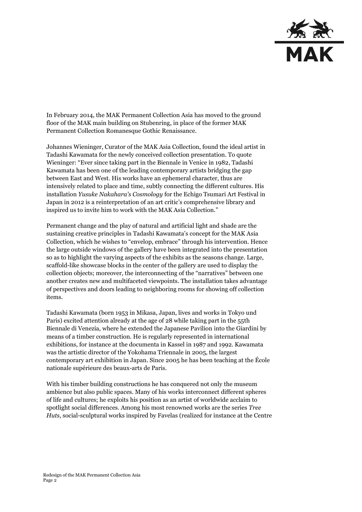

In February 2014, the MAK Permanent Collection Asia has moved to the ground floor of the MAK main building on Stubenring, in place of the former MAK Permanent Collection Romanesque Gothic Renaissance.

Johannes Wieninger, Curator of the MAK Asia Collection, found the ideal artist in Tadashi Kawamata for the newly conceived collection presentation. To quote Wieninger: "Ever since taking part in the Biennale in Venice in 1982, Tadashi Kawamata has been one of the leading contemporary artists bridging the gap between East and West. His works have an ephemeral character, thus are intensively related to place and time, subtly connecting the different cultures. His installation *Yusuke Nakahara's Cosmology* for the Echigo Tsumari Art Festival in Japan in 2012 is a reinterpretation of an art critic's comprehensive library and inspired us to invite him to work with the MAK Asia Collection."

Permanent change and the play of natural and artificial light and shade are the sustaining creative principles in Tadashi Kawamata's concept for the MAK Asia Collection, which he wishes to "envelop, embrace" through his intervention. Hence the large outside windows of the gallery have been integrated into the presentation so as to highlight the varying aspects of the exhibits as the seasons change. Large, scaffold-like showcase blocks in the center of the gallery are used to display the collection objects; moreover, the interconnecting of the "narratives" between one another creates new and multifaceted viewpoints. The installation takes advantage of perspectives and doors leading to neighboring rooms for showing off collection items.

Tadashi Kawamata (born 1953 in Mikasa, Japan, lives and works in Tokyo und Paris) excited attention already at the age of 28 while taking part in the 55th Biennale di Venezia, where he extended the Japanese Pavilion into the Giardini by means of a timber construction. He is regularly represented in international exhibitions, for instance at the documenta in Kassel in 1987 and 1992. Kawamata was the artistic director of the Yokohama Triennale in 2005, the largest contemporary art exhibition in Japan. Since 2005 he has been teaching at the École nationale supérieure des beaux-arts de Paris.

With his timber building constructions he has conquered not only the museum ambience but also public spaces. Many of his works interconnect different spheres of life and cultures; he exploits his position as an artist of worldwide acclaim to spotlight social differences. Among his most renowned works are the series *Tree Huts*, social-sculptural works inspired by Favelas (realized for instance at the Centre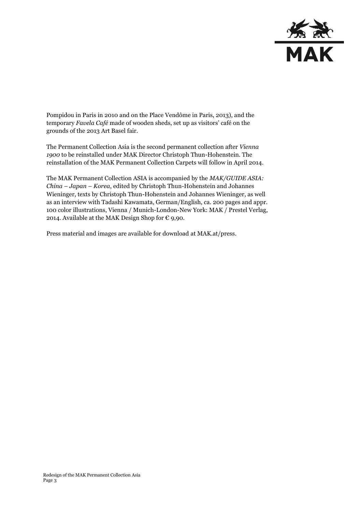

Pompidou in Paris in 2010 and on the Place Vendôme in Paris, 2013), and the temporary *Favela Café* made of wooden sheds, set up as visitors' café on the grounds of the 2013 Art Basel fair.

The Permanent Collection Asia is the second permanent collection after *Vienna 1900* to be reinstalled under MAK Director Christoph Thun-Hohenstein. The reinstallation of the MAK Permanent Collection Carpets will follow in April 2014.

The MAK Permanent Collection ASIA is accompanied by the *MAK/GUIDE ASIA: China – Japan – Korea*, edited by Christoph Thun-Hohenstein and Johannes Wieninger, texts by Christoph Thun-Hohenstein and Johannes Wieninger, as well as an interview with Tadashi Kawamata, German/English, ca. 200 pages and appr. 100 color illustrations, Vienna / Munich-London-New York: MAK / Prestel Verlag, 2014. Available at the MAK Design Shop for  $\epsilon$  9,90.

Press material and images are available for download at MAK.at/press.